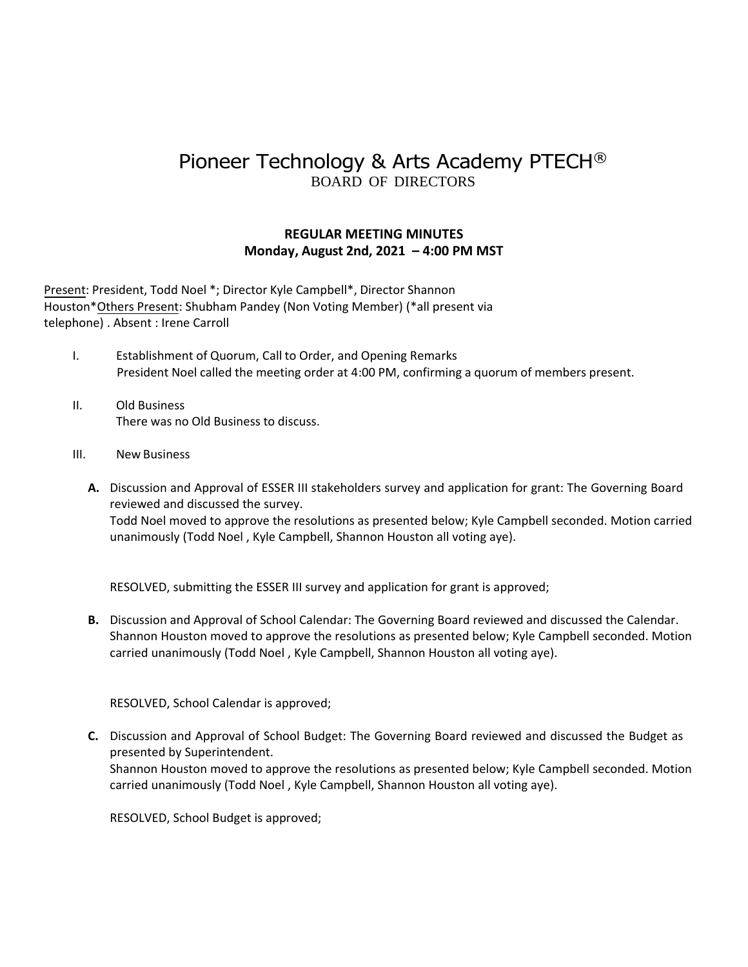## Pioneer Technology & Arts Academy PTECH® BOARD OF DIRECTORS

## **REGULAR MEETING MINUTES Monday, August 2nd, 2021 – 4:00 PM MST**

Present: President, Todd Noel \*; Director Kyle Campbell\*, Director Shannon Houston\*Others Present: Shubham Pandey (Non Voting Member) (\*all present via telephone) . Absent : Irene Carroll

- I. Establishment of Quorum, Call to Order, and Opening Remarks President Noel called the meeting order at 4:00 PM, confirming a quorum of members present.
- II. Old Business There was no Old Business to discuss.
- III. New Business
	- **A.** Discussion and Approval of ESSER III stakeholders survey and application for grant: The Governing Board reviewed and discussed the survey. Todd Noel moved to approve the resolutions as presented below; Kyle Campbell seconded. Motion carried unanimously (Todd Noel , Kyle Campbell, Shannon Houston all voting aye).

RESOLVED, submitting the ESSER III survey and application for grant is approved;

**B.** Discussion and Approval of School Calendar: The Governing Board reviewed and discussed the Calendar. Shannon Houston moved to approve the resolutions as presented below; Kyle Campbell seconded. Motion carried unanimously (Todd Noel , Kyle Campbell, Shannon Houston all voting aye).

RESOLVED, School Calendar is approved;

**C.** Discussion and Approval of School Budget: The Governing Board reviewed and discussed the Budget as presented by Superintendent. Shannon Houston moved to approve the resolutions as presented below; Kyle Campbell seconded. Motion carried unanimously (Todd Noel , Kyle Campbell, Shannon Houston all voting aye).

RESOLVED, School Budget is approved;